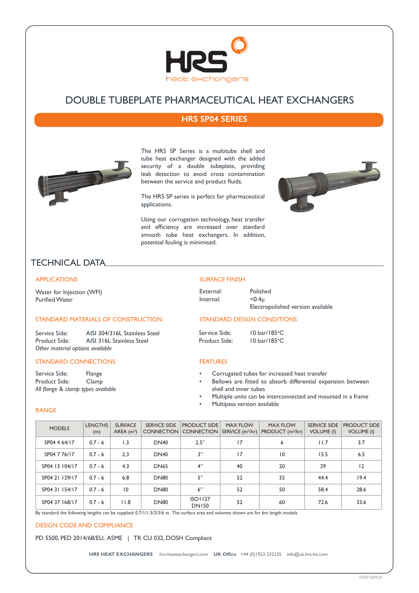

# DOUBLE TUBEPLATE PHARMACEUTICAL HEAT EXCHANGERS

## **HRS SP04 SERIES**



The HRS SP Series is a multitube shell and tube heat exchanger designed with the added security of a double tubeplate, providing leak detection to avoid cross contamination between the service and product fluids.

The HRS SP series is perfect for pharmaceutical applications.

Using our corrugation technology, heat transfer and efficiency are increased over standard smooth tube heat exchangers. In addition, potential fouling is minimised.



# TECHNICAL DATA

### APPLICATIONS

Water for Injection (WFI) Purified Water

### STANDARD MATERIALS OF CONSTRUCTION

Service Side: AISI 304/316L Stainless Steel<br>Product Side: AISI 316L Stainless Steel AISI 316L Stainless Steel *Other material options available*

### STANDARD CONNECTIONS

Service Side: Flange Product Side: Clamp *All flange & clamp types available*

#### SURFACE FINISH

| External: | Polished                          |
|-----------|-----------------------------------|
| Internal: | < 0.4 <sub>u</sub>                |
|           | Electropolished version available |

10 bar/185°C

### STANDARD DESIGN CONDITIONS

Service Side: Product Side:

10 bar/185°C

### FEATURES

- Corrugated tubes for increased heat transfer
- Bellows are fitted to absorb differential expansion between shell and inner tubes
- Multiple units can be interconnected and mounted in a frame
- Multipass version available

### RANGE

| <b>MODELS</b>  | <b>LENGTHS</b><br>(m) | <b>SURFACE</b><br>AREA $(m2)$ | <b>SERVICE SIDE</b><br><b>CONNECTION</b> | <b>PRODUCT SIDE</b><br><b>CONNECTION</b> | <b>MAX FLOW</b><br>SERVICE (m <sup>3</sup> /hr) | <b>MAX FLOW</b><br>PRODUCT (m <sup>3</sup> /hr) | <b>SERVICE SIDE</b><br><b>VOLUME (I)</b> | <b>PRODUCT SIDE</b><br><b>VOLUME (I)</b> |
|----------------|-----------------------|-------------------------------|------------------------------------------|------------------------------------------|-------------------------------------------------|-------------------------------------------------|------------------------------------------|------------------------------------------|
| SP04 4 64/17   | $0.7 - 6$             | 1.3                           | <b>DN40</b>                              | 2.5"                                     | 17                                              | 6                                               | 11.7                                     | 3.7                                      |
| SP04 7 76/17   | $0.7 - 6$             | 2.3                           | <b>DN40</b>                              | 3"                                       | 17                                              | 10                                              | 15.5                                     | 6.5                                      |
| SP04 13 104/17 | $0.7 - 6$             | 4.3                           | <b>DN65</b>                              | 4"                                       | 40                                              | 20                                              | 29                                       | 12                                       |
| SP04 21 129/17 | $0.7 - 6$             | 6.8                           | <b>DN80</b>                              | 5"                                       | 52                                              | 32                                              | 44.4                                     | 19.4                                     |
| SP04 31 154/17 | $0.7 - 6$             | 10                            | <b>DN80</b>                              | 6"                                       | 52                                              | 50                                              | 58.4                                     | 28.6                                     |
| SP04 37 168/17 | $0.7 - 6$             | 11.8                          | <b>DN80</b>                              | <b>ISO1127</b><br><b>DN150</b>           | 52                                              | 60                                              | 72.6                                     | 33.6                                     |

By standard the following lengths can be supplied: 0.7/1/1.5/2/3/6 m. The surface area and volumes shown are for 6m length models.

### DESIGN CODE AND COMPLIANCE

PD 5500, PED 2014/68/EU, ASME | TR CU 032, DOSH Compliant

**HRS HEAT EXCHANGERS** hrs-heatexchangers.com **UK Office** +44 (0)1923 232335 info@uk.hrs-he.com